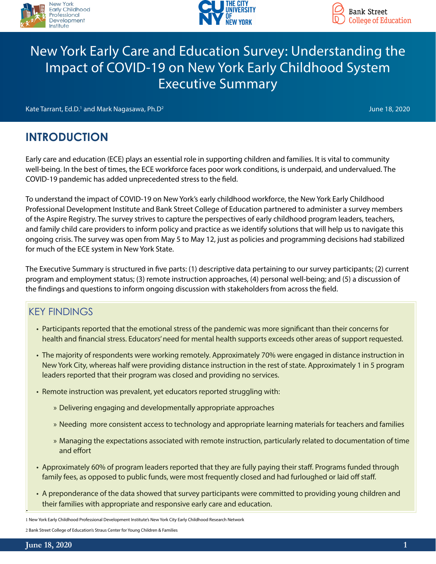



# New York Early Care and Education Survey: Understanding the Impact of COVID-19 on New York Early Childhood System Executive Summary

Kate Tarrant, Ed.D. $^1$  and Mark Nagasawa, Ph.D $^2$ 

June 18, 2020

# **INTRODUCTION**

Early care and education (ECE) plays an essential role in supporting children and families. It is vital to community well-being. In the best of times, the ECE workforce faces poor work conditions, is underpaid, and undervalued. The COVID-19 pandemic has added unprecedented stress to the field.

To understand the impact of COVID-19 on New York's early childhood workforce, the New York Early Childhood Professional Development Institute and Bank Street College of Education partnered to administer a survey members of the Aspire Registry. The survey strives to capture the perspectives of early childhood program leaders, teachers, and family child care providers to inform policy and practice as we identify solutions that will help us to navigate this ongoing crisis. The survey was open from May 5 to May 12, just as policies and programming decisions had stabilized for much of the ECE system in New York State.

The Executive Summary is structured in five parts: (1) descriptive data pertaining to our survey participants; (2) current program and employment status; (3) remote instruction approaches, (4) personal well-being; and (5) a discussion of the findings and questions to inform ongoing discussion with stakeholders from across the field.

### KEY FINDINGS

- Participants reported that the emotional stress of the pandemic was more significant than their concerns for health and financial stress. Educators' need for mental health supports exceeds other areas of support requested.
- The majority of respondents were working remotely. Approximately 70% were engaged in distance instruction in New York City, whereas half were providing distance instruction in the rest of state. Approximately 1 in 5 program leaders reported that their program was closed and providing no services.
- Remote instruction was prevalent, yet educators reported struggling with:
	- » Delivering engaging and developmentally appropriate approaches
	- » Needing more consistent access to technology and appropriate learning materials for teachers and families
	- » Managing the expectations associated with remote instruction, particularly related to documentation of time and effort
- Approximately 60% of program leaders reported that they are fully paying their staff. Programs funded through family fees, as opposed to public funds, were most frequently closed and had furloughed or laid off staff.
- A preponderance of the data showed that survey participants were committed to providing young children and their families with appropriate and responsive early care and education.

1 New York Early Childhood Professional Development Institute's New York City Early Childhood Research Network

2 Bank Street College of Education's Straus Center for Young Children & Families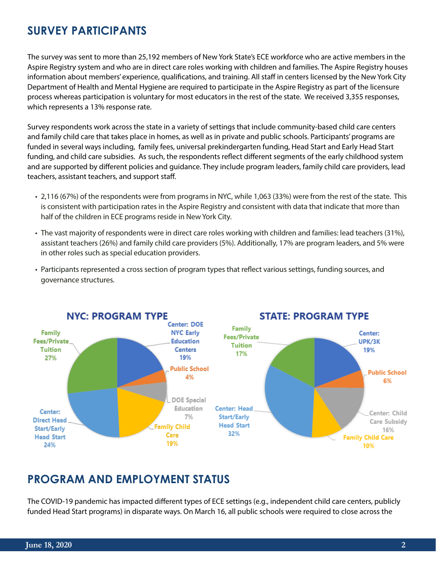## **SURVEY PARTICIPANTS**

The survey was sent to more than 25,192 members of New York State's ECE workforce who are active members in the Aspire Registry system and who are in direct care roles working with children and families. The Aspire Registry houses information about members' experience, qualifications, and training. All staff in centers licensed by the New York City Department of Health and Mental Hygiene are required to participate in the Aspire Registry as part of the licensure process whereas participation is voluntary for most educators in the rest of the state. We received 3,355 responses, which represents a 13% response rate.

Survey respondents work across the state in a variety of settings that include community-based child care centers and family child care that takes place in homes, as well as in private and public schools. Participants' programs are funded in several ways including, family fees, universal prekindergarten funding, Head Start and Early Head Start funding, and child care subsidies. As such, the respondents reflect different segments of the early childhood system and are supported by different policies and guidance. They include program leaders, family child care providers, lead teachers, assistant teachers, and support staff.

- 2,116 (67%) of the respondents were from programs in NYC, while 1,063 (33%) were from the rest of the state. This is consistent with participation rates in the Aspire Registry and consistent with data that indicate that more than half of the children in ECE programs reside in New York City.
- The vast majority of respondents were in direct care roles working with children and families: lead teachers (31%), assistant teachers (26%) and family child care providers (5%). Additionally, 17% are program leaders, and 5% were in other roles such as special education providers.
- Participants represented a cross section of program types that reflect various settings, funding sources, and governance structures.



## **PROGRAM AND EMPLOYMENT STATUS**

The COVID-19 pandemic has impacted different types of ECE settings (e.g., independent child care centers, publicly funded Head Start programs) in disparate ways. On March 16, all public schools were required to close across the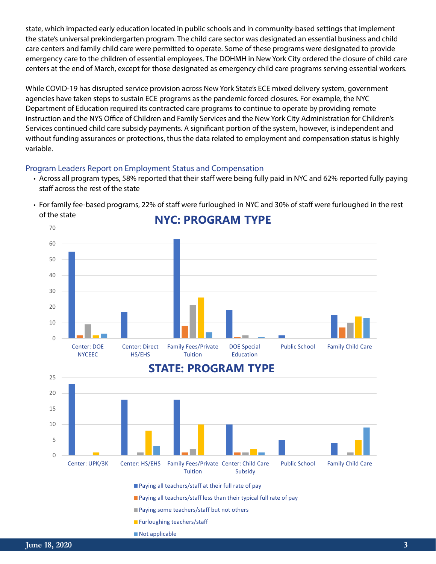state, which impacted early education located in public schools and in community-based settings that implement the state's universal prekindergarten program. The child care sector was designated an essential business and child care centers and family child care were permitted to operate. Some of these programs were designated to provide emergency care to the children of essential employees. The DOHMH in New York City ordered the closure of child care centers at the end of March, except for those designated as emergency child care programs serving essential workers.

While COVID-19 has disrupted service provision across New York State's ECE mixed delivery system, government agencies have taken steps to sustain ECE programs as the pandemic forced closures. For example, the NYC Department of Education required its contracted care programs to continue to operate by providing remote instruction and the NYS Office of Children and Family Services and the New York City Administration for Children's Services continued child care subsidy payments. A significant portion of the system, however, is independent and without funding assurances or protections, thus the data related to employment and compensation status is highly variable.

#### Program Leaders Report on Employment Status and Compensation

• Across all program types, 58% reported that their staff were being fully paid in NYC and 62% reported fully paying staff across the rest of the state



• For family fee-based programs, 22% of staff were furloughed in NYC and 30% of staff were furloughed in the rest of the state

### **STATE: PROGRAM TYPE**

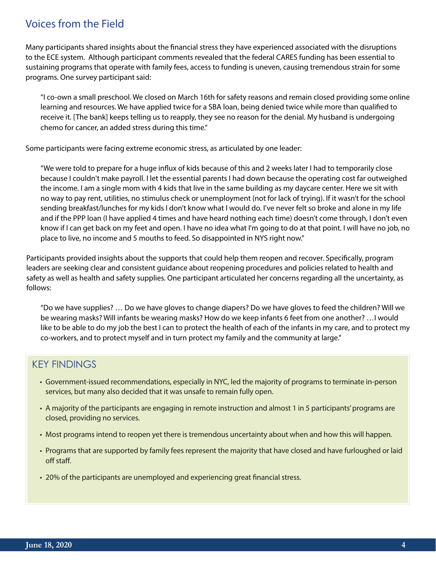## Voices from the Field

Many participants shared insights about the financial stress they have experienced associated with the disruptions to the ECE system. Although participant comments revealed that the federal CARES funding has been essential to sustaining programs that operate with family fees, access to funding is uneven, causing tremendous strain for some programs. One survey participant said:

"I co-own a small preschool. We closed on March 16th for safety reasons and remain closed providing some online learning and resources. We have applied twice for a SBA loan, being denied twice while more than qualified to receive it. [The bank] keeps telling us to reapply, they see no reason for the denial. My husband is undergoing chemo for cancer, an added stress during this time."

Some participants were facing extreme economic stress, as articulated by one leader:

"We were told to prepare for a huge influx of kids because of this and 2 weeks later I had to temporarily close because I couldn't make payroll. I let the essential parents I had down because the operating cost far outweighed the income. I am a single mom with 4 kids that live in the same building as my daycare center. Here we sit with no way to pay rent, utilities, no stimulus check or unemployment (not for lack of trying). If it wasn't for the school sending breakfast/lunches for my kids I don't know what I would do. I've never felt so broke and alone in my life and if the PPP loan (I have applied 4 times and have heard nothing each time) doesn't come through, I don't even know if I can get back on my feet and open. I have no idea what I'm going to do at that point. I will have no job, no place to live, no income and 5 mouths to feed. So disappointed in NYS right now."

Participants provided insights about the supports that could help them reopen and recover. Specifically, program leaders are seeking clear and consistent guidance about reopening procedures and policies related to health and safety as well as health and safety supplies. One participant articulated her concerns regarding all the uncertainty, as follows:

"Do we have supplies? … Do we have gloves to change diapers? Do we have gloves to feed the children? Will we be wearing masks? Will infants be wearing masks? How do we keep infants 6 feet from one another? …I would like to be able to do my job the best I can to protect the health of each of the infants in my care, and to protect my co-workers, and to protect myself and in turn protect my family and the community at large."

### KEY FINDINGS

- Government-issued recommendations, especially in NYC, led the majority of programs to terminate in-person services, but many also decided that it was unsafe to remain fully open.
- A majority of the participants are engaging in remote instruction and almost 1 in 5 participants' programs are closed, providing no services.
- Most programs intend to reopen yet there is tremendous uncertainty about when and how this will happen.
- Programs that are supported by family fees represent the majority that have closed and have furloughed or laid off staff.
- 20% of the participants are unemployed and experiencing great financial stress.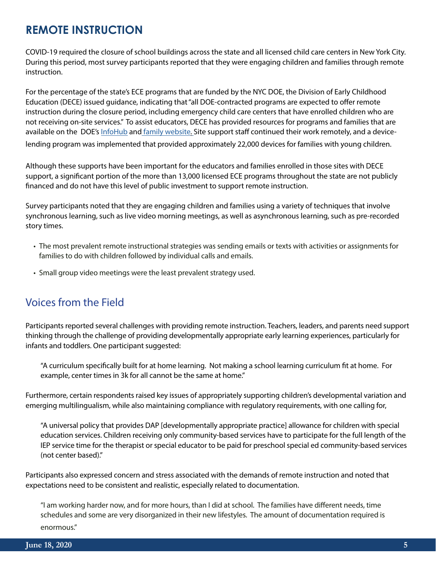## **REMOTE INSTRUCTION**

COVID-19 required the closure of school buildings across the state and all licensed child care centers in New York City. During this period, most survey participants reported that they were engaging children and families through remote instruction.

For the percentage of the state's ECE programs that are funded by the NYC DOE, the Division of Early Childhood Education (DECE) issued guidance, indicating that "all DOE-contracted programs are expected to offer remote instruction during the closure period, including emergency child care centers that have enrolled children who are not receiving on-site services." To assist educators, DECE has provided resources for programs and families that are available on the DOE's [InfoHub](https://infohub.nyced.org/working-with-the-doe/early-childhood/early-childhood-educators/supporting-quality-care-and-instruction/instructional-resources) an[d family website.](https://www.schools.nyc.gov/learn-at-home/activities-for-students/early-childhood) Site support staff continued their work remotely, and a devicelending program was implemented that provided approximately 22,000 devices for families with young children.

Although these supports have been important for the educators and families enrolled in those sites with DECE support, a significant portion of the more than 13,000 licensed ECE programs throughout the state are not publicly financed and do not have this level of public investment to support remote instruction.

Survey participants noted that they are engaging children and families using a variety of techniques that involve synchronous learning, such as live video morning meetings, as well as asynchronous learning, such as pre-recorded story times.

- The most prevalent remote instructional strategies was sending emails or texts with activities or assignments for families to do with children followed by individual calls and emails.
- Small group video meetings were the least prevalent strategy used.

## Voices from the Field

Participants reported several challenges with providing remote instruction. Teachers, leaders, and parents need support thinking through the challenge of providing developmentally appropriate early learning experiences, particularly for infants and toddlers. One participant suggested:

"A curriculum specifically built for at home learning. Not making a school learning curriculum fit at home. For example, center times in 3k for all cannot be the same at home."

Furthermore, certain respondents raised key issues of appropriately supporting children's developmental variation and emerging multilingualism, while also maintaining compliance with regulatory requirements, with one calling for,

"A universal policy that provides DAP [developmentally appropriate practice] allowance for children with special education services. Children receiving only community-based services have to participate for the full length of the IEP service time for the therapist or special educator to be paid for preschool special ed community-based services (not center based)."

Participants also expressed concern and stress associated with the demands of remote instruction and noted that expectations need to be consistent and realistic, especially related to documentation.

"I am working harder now, and for more hours, than I did at school. The families have different needs, time schedules and some are very disorganized in their new lifestyles. The amount of documentation required is enormous."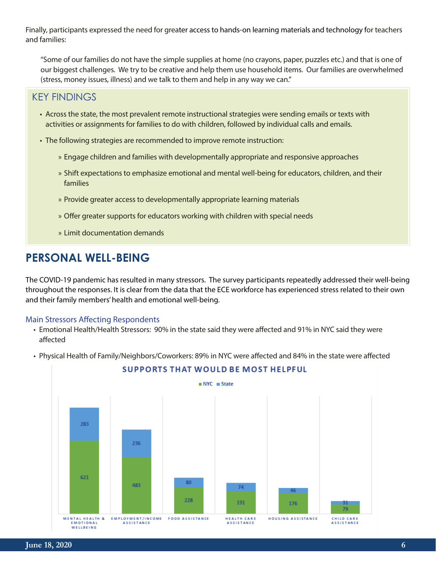Finally, participants expressed the need for greater access to hands-on learning materials and technology for teachers and families:

"Some of our families do not have the simple supplies at home (no crayons, paper, puzzles etc.) and that is one of our biggest challenges. We try to be creative and help them use household items. Our families are overwhelmed (stress, money issues, illness) and we talk to them and help in any way we can."

### KEY FINDINGS

- Across the state, the most prevalent remote instructional strategies were sending emails or texts with activities or assignments for families to do with children, followed by individual calls and emails.
- The following strategies are recommended to improve remote instruction:
	- » Engage children and families with developmentally appropriate and responsive approaches
	- » Shift expectations to emphasize emotional and mental well-being for educators, children, and their families
	- » Provide greater access to developmentally appropriate learning materials
	- » Offer greater supports for educators working with children with special needs
	- » Limit documentation demands

## **PERSONAL WELL-BEING**

The COVID-19 pandemic has resulted in many stressors. The survey participants repeatedly addressed their well-being throughout the responses. It is clear from the data that the ECE workforce has experienced stress related to their own and their family members' health and emotional well-being.

#### Main Stressors Affecting Respondents

- Emotional Health/Health Stressors: 90% in the state said they were affected and 91% in NYC said they were affected
- Physical Health of Family/Neighbors/Coworkers: 89% in NYC were affected and 84% in the state were affected



#### **SUPPORTS THAT WOULD BE MOST HELPFUL**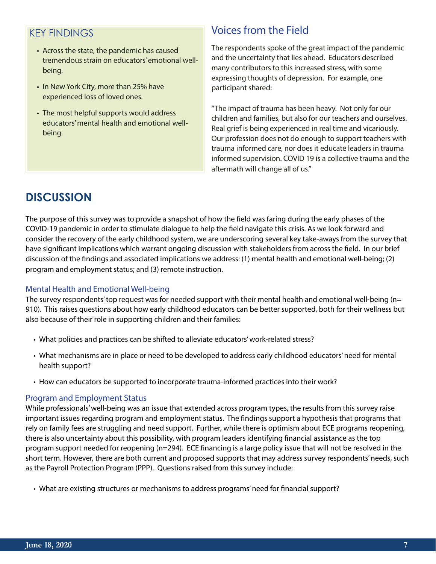### KEY FINDINGS

- Across the state, the pandemic has caused tremendous strain on educators' emotional wellbeing.
- In New York City, more than 25% have experienced loss of loved ones.
- The most helpful supports would address educators' mental health and emotional wellbeing.

### Voices from the Field

The respondents spoke of the great impact of the pandemic and the uncertainty that lies ahead. Educators described many contributors to this increased stress, with some expressing thoughts of depression. For example, one participant shared:

"The impact of trauma has been heavy. Not only for our children and families, but also for our teachers and ourselves. Real grief is being experienced in real time and vicariously. Our profession does not do enough to support teachers with trauma informed care, nor does it educate leaders in trauma informed supervision. COVID 19 is a collective trauma and the aftermath will change all of us."

# **DISCUSSION**

The purpose of this survey was to provide a snapshot of how the field was faring during the early phases of the COVID-19 pandemic in order to stimulate dialogue to help the field navigate this crisis. As we look forward and consider the recovery of the early childhood system, we are underscoring several key take-aways from the survey that have significant implications which warrant ongoing discussion with stakeholders from across the field. In our brief discussion of the findings and associated implications we address: (1) mental health and emotional well-being; (2) program and employment status; and (3) remote instruction.

#### Mental Health and Emotional Well-being

The survey respondents' top request was for needed support with their mental health and emotional well-being (n= 910). This raises questions about how early childhood educators can be better supported, both for their wellness but also because of their role in supporting children and their families:

- What policies and practices can be shifted to alleviate educators' work-related stress?
- What mechanisms are in place or need to be developed to address early childhood educators' need for mental health support?
- How can educators be supported to incorporate trauma-informed practices into their work?

#### Program and Employment Status

While professionals' well-being was an issue that extended across program types, the results from this survey raise important issues regarding program and employment status. The findings support a hypothesis that programs that rely on family fees are struggling and need support. Further, while there is optimism about ECE programs reopening, there is also uncertainty about this possibility, with program leaders identifying financial assistance as the top program support needed for reopening (n=294). ECE financing is a large policy issue that will not be resolved in the short term. However, there are both current and proposed supports that may address survey respondents' needs, such as the Payroll Protection Program (PPP). Questions raised from this survey include:

• What are existing structures or mechanisms to address programs' need for financial support?